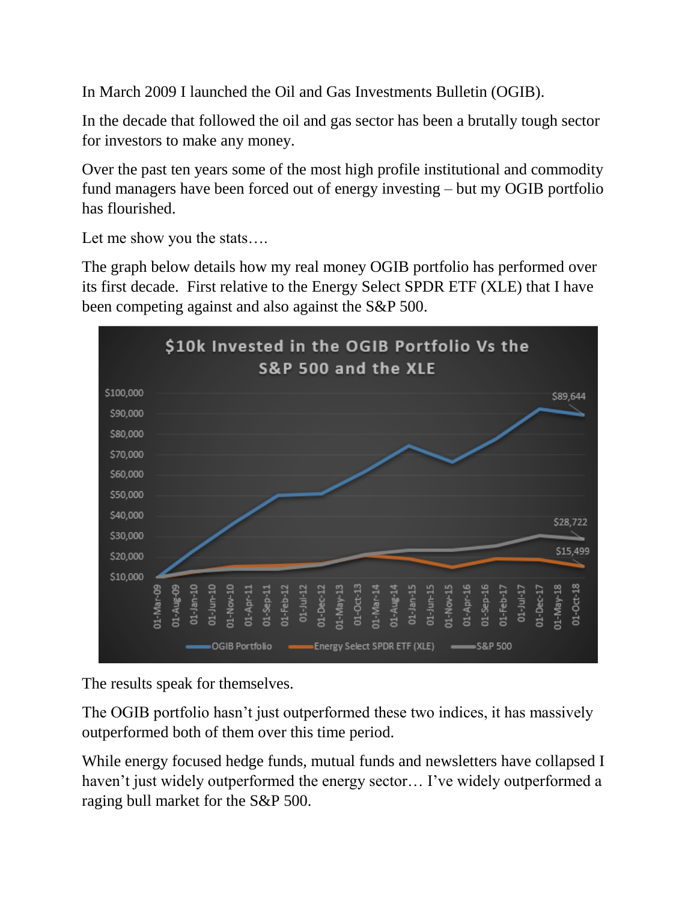In March 2009 I launched the Oil and Gas Investments Bulletin (OGIB).

In the decade that followed the oil and gas sector has been a brutally tough sector for investors to make any money.

Over the past ten years some of the most high profile institutional and commodity fund managers have been forced out of energy investing – but my OGIB portfolio has flourished.

Let me show you the stats….

The graph below details how my real money OGIB portfolio has performed over its first decade. First relative to the Energy Select SPDR ETF (XLE) that I have been competing against and also against the S&P 500.



The results speak for themselves.

The OGIB portfolio hasn't just outperformed these two indices, it has massively outperformed both of them over this time period.

While energy focused hedge funds, mutual funds and newsletters have collapsed I haven't just widely outperformed the energy sector… I've widely outperformed a raging bull market for the S&P 500.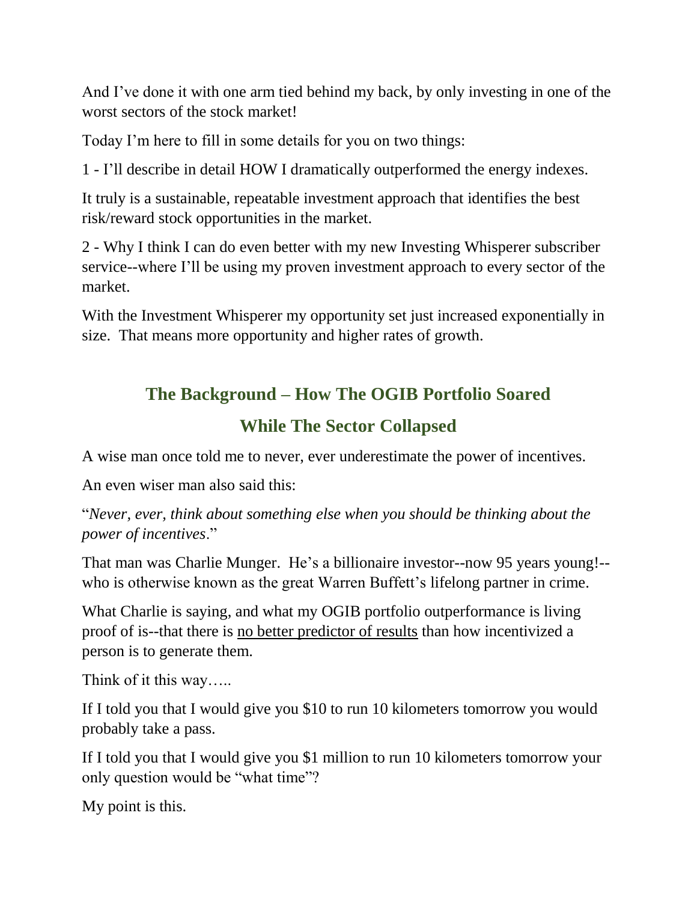And I've done it with one arm tied behind my back, by only investing in one of the worst sectors of the stock market!

Today I'm here to fill in some details for you on two things:

1 - I'll describe in detail HOW I dramatically outperformed the energy indexes.

It truly is a sustainable, repeatable investment approach that identifies the best risk/reward stock opportunities in the market.

2 - Why I think I can do even better with my new Investing Whisperer subscriber service--where I'll be using my proven investment approach to every sector of the market.

With the Investment Whisperer my opportunity set just increased exponentially in size. That means more opportunity and higher rates of growth.

#### **The Background – How The OGIB Portfolio Soared**

#### **While The Sector Collapsed**

A wise man once told me to never, ever underestimate the power of incentives.

An even wiser man also said this:

"*Never, ever, think about something else when you should be thinking about the power of incentives*."

That man was Charlie Munger. He's a billionaire investor--now 95 years young!- who is otherwise known as the great Warren Buffett's lifelong partner in crime.

What Charlie is saying, and what my OGIB portfolio outperformance is living proof of is--that there is no better predictor of results than how incentivized a person is to generate them.

Think of it this way…..

If I told you that I would give you \$10 to run 10 kilometers tomorrow you would probably take a pass.

If I told you that I would give you \$1 million to run 10 kilometers tomorrow your only question would be "what time"?

My point is this.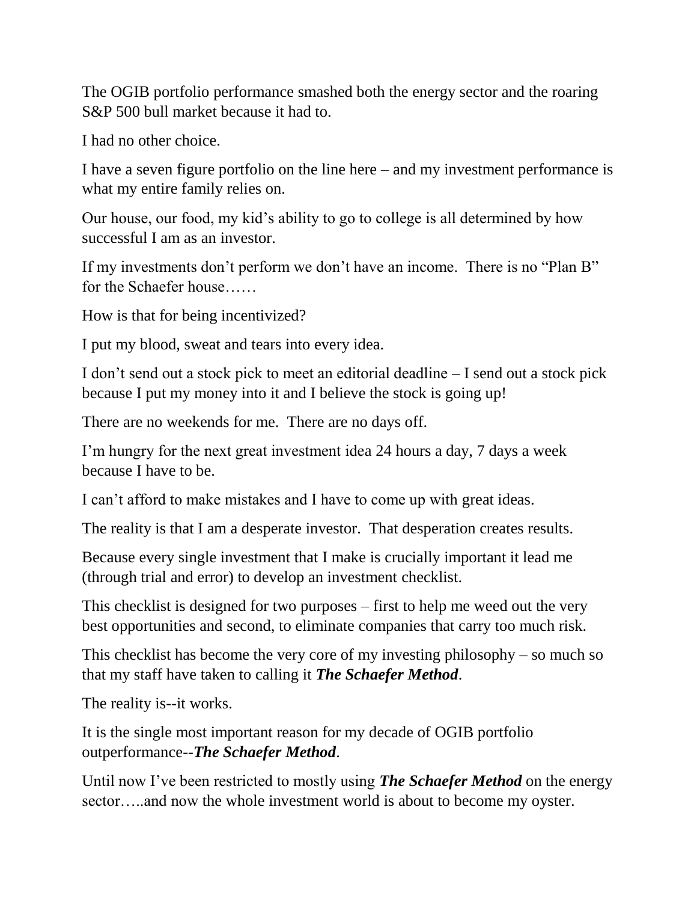The OGIB portfolio performance smashed both the energy sector and the roaring S&P 500 bull market because it had to.

I had no other choice.

I have a seven figure portfolio on the line here – and my investment performance is what my entire family relies on.

Our house, our food, my kid's ability to go to college is all determined by how successful I am as an investor.

If my investments don't perform we don't have an income. There is no "Plan B" for the Schaefer house……

How is that for being incentivized?

I put my blood, sweat and tears into every idea.

I don't send out a stock pick to meet an editorial deadline – I send out a stock pick because I put my money into it and I believe the stock is going up!

There are no weekends for me. There are no days off.

I'm hungry for the next great investment idea 24 hours a day, 7 days a week because I have to be.

I can't afford to make mistakes and I have to come up with great ideas.

The reality is that I am a desperate investor. That desperation creates results.

Because every single investment that I make is crucially important it lead me (through trial and error) to develop an investment checklist.

This checklist is designed for two purposes – first to help me weed out the very best opportunities and second, to eliminate companies that carry too much risk.

This checklist has become the very core of my investing philosophy – so much so that my staff have taken to calling it *The Schaefer Method*.

The reality is--it works.

It is the single most important reason for my decade of OGIB portfolio outperformance--*The Schaefer Method*.

Until now I've been restricted to mostly using *The Schaefer Method* on the energy sector…..and now the whole investment world is about to become my oyster.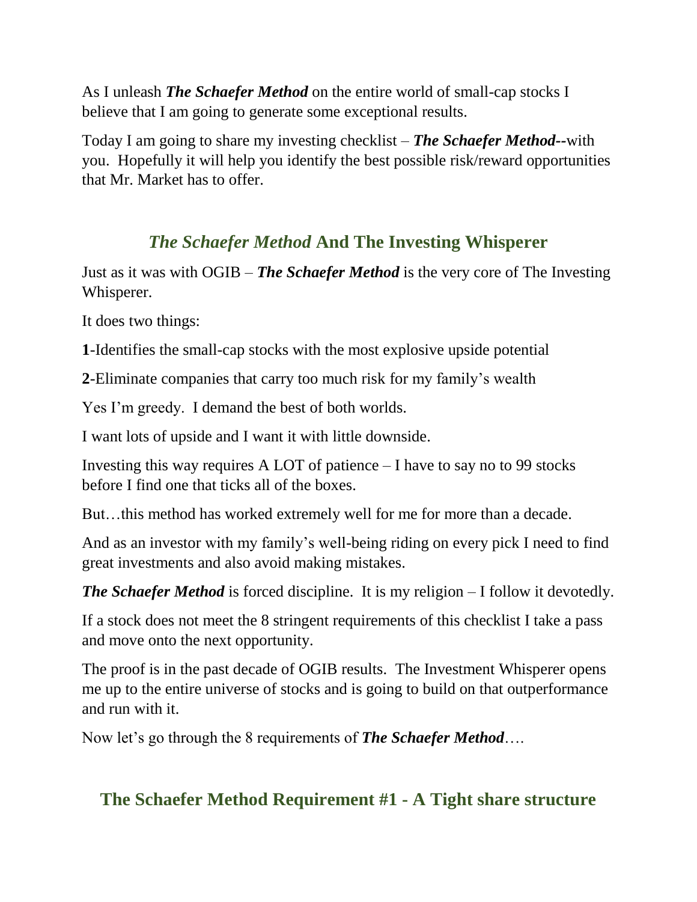As I unleash *The Schaefer Method* on the entire world of small-cap stocks I believe that I am going to generate some exceptional results.

Today I am going to share my investing checklist – *The Schaefer Method--*with you. Hopefully it will help you identify the best possible risk/reward opportunities that Mr. Market has to offer.

# *The Schaefer Method* **And The Investing Whisperer**

Just as it was with OGIB – *The Schaefer Method* is the very core of The Investing Whisperer.

It does two things:

**1**-Identifies the small-cap stocks with the most explosive upside potential

**2**-Eliminate companies that carry too much risk for my family's wealth

Yes I'm greedy. I demand the best of both worlds.

I want lots of upside and I want it with little downside.

Investing this way requires A LOT of patience – I have to say no to 99 stocks before I find one that ticks all of the boxes.

But…this method has worked extremely well for me for more than a decade.

And as an investor with my family's well-being riding on every pick I need to find great investments and also avoid making mistakes.

*The Schaefer Method* is forced discipline. It is my religion – I follow it devotedly.

If a stock does not meet the 8 stringent requirements of this checklist I take a pass and move onto the next opportunity.

The proof is in the past decade of OGIB results. The Investment Whisperer opens me up to the entire universe of stocks and is going to build on that outperformance and run with it.

Now let's go through the 8 requirements of *The Schaefer Method*….

#### **The Schaefer Method Requirement #1 - A Tight share structure**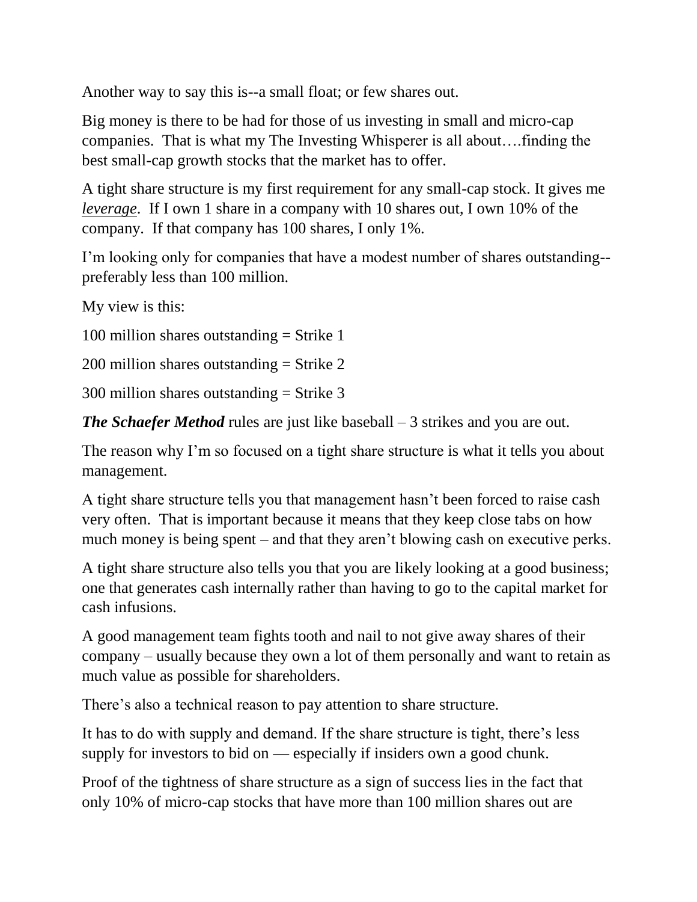Another way to say this is--a small float; or few shares out.

Big money is there to be had for those of us investing in small and micro-cap companies. That is what my The Investing Whisperer is all about….finding the best small-cap growth stocks that the market has to offer.

A tight share structure is my first requirement for any small-cap stock. It gives me *leverage*. If I own 1 share in a company with 10 shares out, I own 10% of the company. If that company has 100 shares, I only 1%.

I'm looking only for companies that have a modest number of shares outstanding- preferably less than 100 million.

My view is this:

100 million shares outstanding  $=$  Strike 1

200 million shares outstanding  $=$  Strike 2

 $300$  million shares outstanding = Strike 3

*The Schaefer Method* rules are just like baseball – 3 strikes and you are out.

The reason why I'm so focused on a tight share structure is what it tells you about management.

A tight share structure tells you that management hasn't been forced to raise cash very often. That is important because it means that they keep close tabs on how much money is being spent – and that they aren't blowing cash on executive perks.

A tight share structure also tells you that you are likely looking at a good business; one that generates cash internally rather than having to go to the capital market for cash infusions.

A good management team fights tooth and nail to not give away shares of their company – usually because they own a lot of them personally and want to retain as much value as possible for shareholders.

There's also a technical reason to pay attention to share structure.

It has to do with supply and demand. If the share structure is tight, there's less supply for investors to bid on — especially if insiders own a good chunk.

Proof of the tightness of share structure as a sign of success lies in the fact that only 10% of micro-cap stocks that have more than 100 million shares out are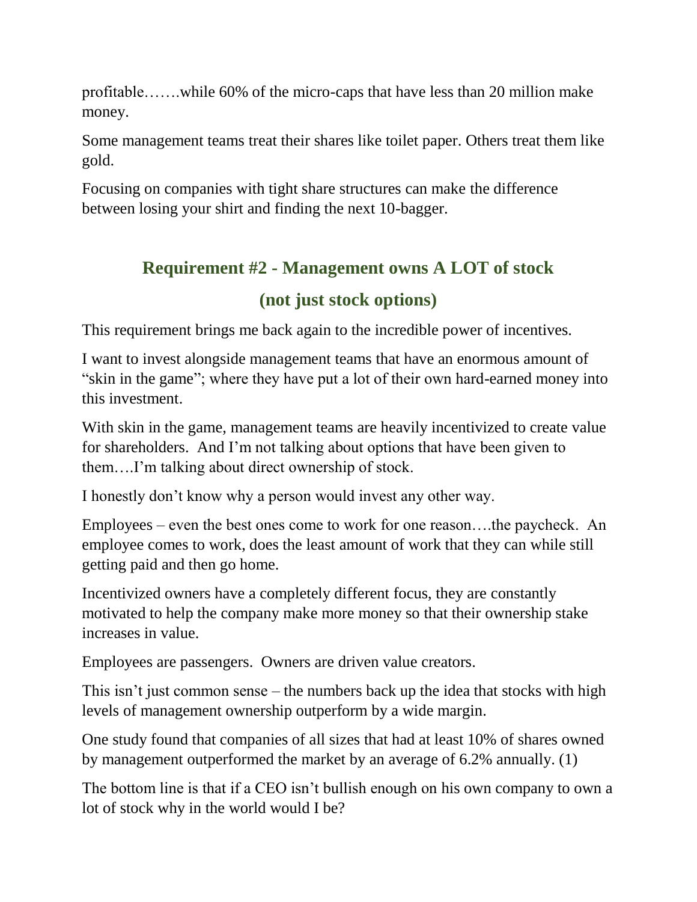profitable…….while 60% of the micro-caps that have less than 20 million make money.

Some management teams treat their shares like toilet paper. Others treat them like gold.

Focusing on companies with tight share structures can make the difference between losing your shirt and finding the next 10-bagger.

# **Requirement #2 - Management owns A LOT of stock (not just stock options)**

This requirement brings me back again to the incredible power of incentives.

I want to invest alongside management teams that have an enormous amount of "skin in the game"; where they have put a lot of their own hard-earned money into this investment.

With skin in the game, management teams are heavily incentivized to create value for shareholders. And I'm not talking about options that have been given to them….I'm talking about direct ownership of stock.

I honestly don't know why a person would invest any other way.

Employees – even the best ones come to work for one reason….the paycheck. An employee comes to work, does the least amount of work that they can while still getting paid and then go home.

Incentivized owners have a completely different focus, they are constantly motivated to help the company make more money so that their ownership stake increases in value.

Employees are passengers. Owners are driven value creators.

This isn't just common sense – the numbers back up the idea that stocks with high levels of management ownership outperform by a wide margin.

One study found that companies of all sizes that had at least 10% of shares owned by management outperformed the market by an average of 6.2% annually. (1)

The bottom line is that if a CEO isn't bullish enough on his own company to own a lot of stock why in the world would I be?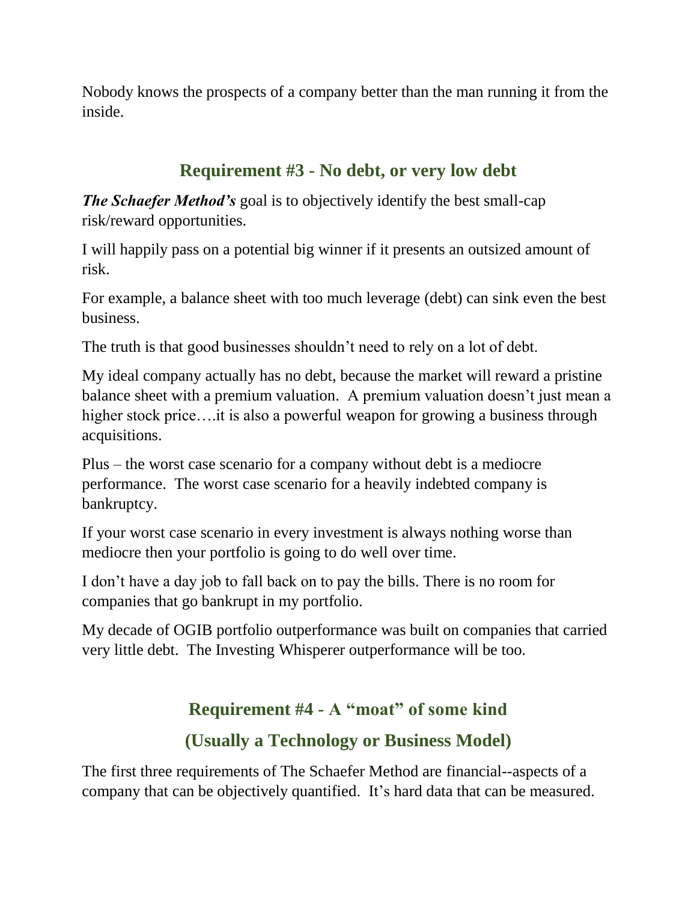Nobody knows the prospects of a company better than the man running it from the inside.

# **Requirement #3 - No debt, or very low debt**

*The Schaefer Method's* goal is to objectively identify the best small-cap risk/reward opportunities.

I will happily pass on a potential big winner if it presents an outsized amount of risk.

For example, a balance sheet with too much leverage (debt) can sink even the best business.

The truth is that good businesses shouldn't need to rely on a lot of debt.

My ideal company actually has no debt, because the market will reward a pristine balance sheet with a premium valuation. A premium valuation doesn't just mean a higher stock price....it is also a powerful weapon for growing a business through acquisitions.

Plus – the worst case scenario for a company without debt is a mediocre performance. The worst case scenario for a heavily indebted company is bankruptcy.

If your worst case scenario in every investment is always nothing worse than mediocre then your portfolio is going to do well over time.

I don't have a day job to fall back on to pay the bills. There is no room for companies that go bankrupt in my portfolio.

My decade of OGIB portfolio outperformance was built on companies that carried very little debt. The Investing Whisperer outperformance will be too.

# **Requirement #4 - A "moat" of some kind**

# **(Usually a Technology or Business Model)**

The first three requirements of The Schaefer Method are financial--aspects of a company that can be objectively quantified. It's hard data that can be measured.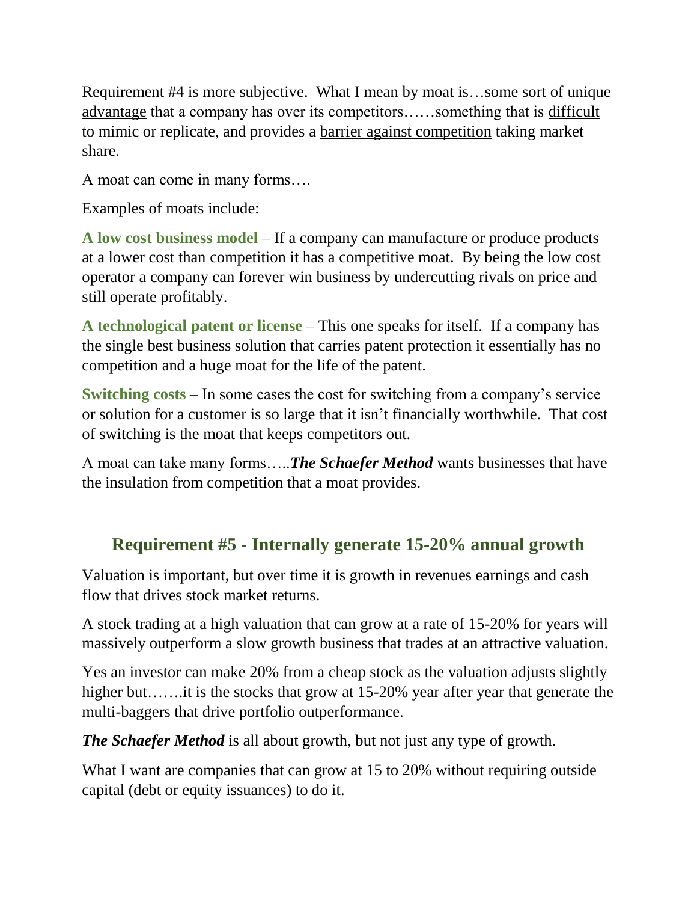Requirement #4 is more subjective. What I mean by moat is…some sort of unique advantage that a company has over its competitors......something that is difficult to mimic or replicate, and provides a barrier against competition taking market share.

A moat can come in many forms….

Examples of moats include:

**A low cost business model** – If a company can manufacture or produce products at a lower cost than competition it has a competitive moat. By being the low cost operator a company can forever win business by undercutting rivals on price and still operate profitably.

**A technological patent or license** – This one speaks for itself. If a company has the single best business solution that carries patent protection it essentially has no competition and a huge moat for the life of the patent.

**Switching costs** – In some cases the cost for switching from a company's service or solution for a customer is so large that it isn't financially worthwhile. That cost of switching is the moat that keeps competitors out.

A moat can take many forms…..*The Schaefer Method* wants businesses that have the insulation from competition that a moat provides.

# **Requirement #5 - Internally generate 15-20% annual growth**

Valuation is important, but over time it is growth in revenues earnings and cash flow that drives stock market returns.

A stock trading at a high valuation that can grow at a rate of 15-20% for years will massively outperform a slow growth business that trades at an attractive valuation.

Yes an investor can make 20% from a cheap stock as the valuation adjusts slightly higher but……it is the stocks that grow at 15-20% year after year that generate the multi-baggers that drive portfolio outperformance.

*The Schaefer Method* is all about growth, but not just any type of growth.

What I want are companies that can grow at 15 to 20% without requiring outside capital (debt or equity issuances) to do it.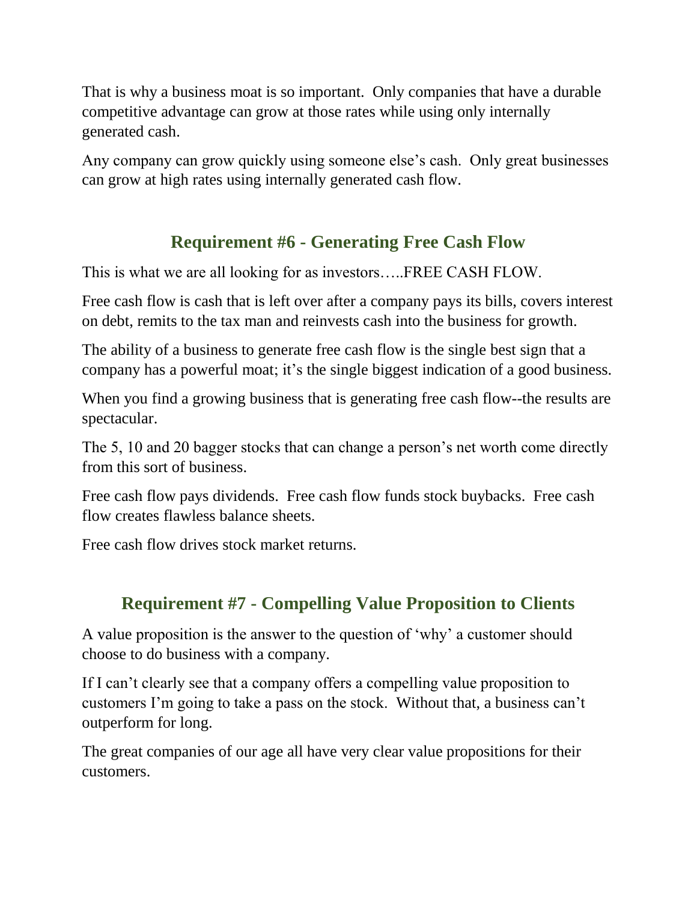That is why a business moat is so important. Only companies that have a durable competitive advantage can grow at those rates while using only internally generated cash.

Any company can grow quickly using someone else's cash. Only great businesses can grow at high rates using internally generated cash flow.

# **Requirement #6 - Generating Free Cash Flow**

This is what we are all looking for as investors…..FREE CASH FLOW.

Free cash flow is cash that is left over after a company pays its bills, covers interest on debt, remits to the tax man and reinvests cash into the business for growth.

The ability of a business to generate free cash flow is the single best sign that a company has a powerful moat; it's the single biggest indication of a good business.

When you find a growing business that is generating free cash flow--the results are spectacular.

The 5, 10 and 20 bagger stocks that can change a person's net worth come directly from this sort of business.

Free cash flow pays dividends. Free cash flow funds stock buybacks. Free cash flow creates flawless balance sheets.

Free cash flow drives stock market returns.

# **Requirement #7 - Compelling Value Proposition to Clients**

A value proposition is the answer to the question of 'why' a customer should choose to do business with a company.

If I can't clearly see that a company offers a compelling value proposition to customers I'm going to take a pass on the stock. Without that, a business can't outperform for long.

The great companies of our age all have very clear value propositions for their customers.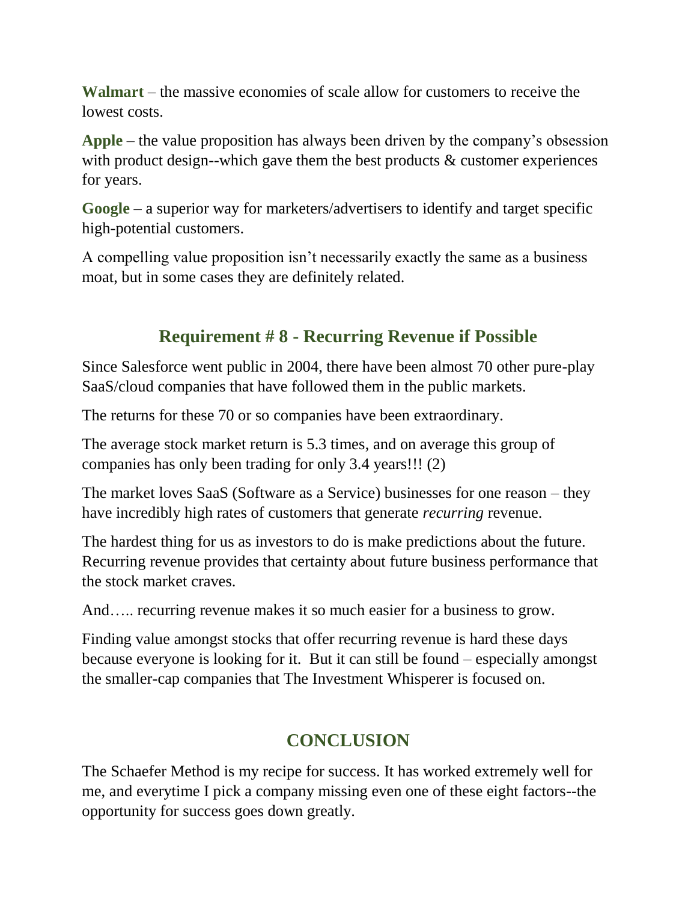**Walmart** – the massive economies of scale allow for customers to receive the lowest costs.

**Apple** – the value proposition has always been driven by the company's obsession with product design--which gave them the best products & customer experiences for years.

**Google** – a superior way for marketers/advertisers to identify and target specific high-potential customers.

A compelling value proposition isn't necessarily exactly the same as a business moat, but in some cases they are definitely related.

#### **Requirement # 8 - Recurring Revenue if Possible**

Since Salesforce went public in 2004, there have been almost 70 other pure-play SaaS/cloud companies that have followed them in the public markets.

The returns for these 70 or so companies have been extraordinary.

The average stock market return is 5.3 times, and on average this group of companies has only been trading for only 3.4 years!!! (2)

The market loves SaaS (Software as a Service) businesses for one reason – they have incredibly high rates of customers that generate *recurring* revenue.

The hardest thing for us as investors to do is make predictions about the future. Recurring revenue provides that certainty about future business performance that the stock market craves.

And….. recurring revenue makes it so much easier for a business to grow.

Finding value amongst stocks that offer recurring revenue is hard these days because everyone is looking for it. But it can still be found – especially amongst the smaller-cap companies that The Investment Whisperer is focused on.

# **CONCLUSION**

The Schaefer Method is my recipe for success. It has worked extremely well for me, and everytime I pick a company missing even one of these eight factors--the opportunity for success goes down greatly.